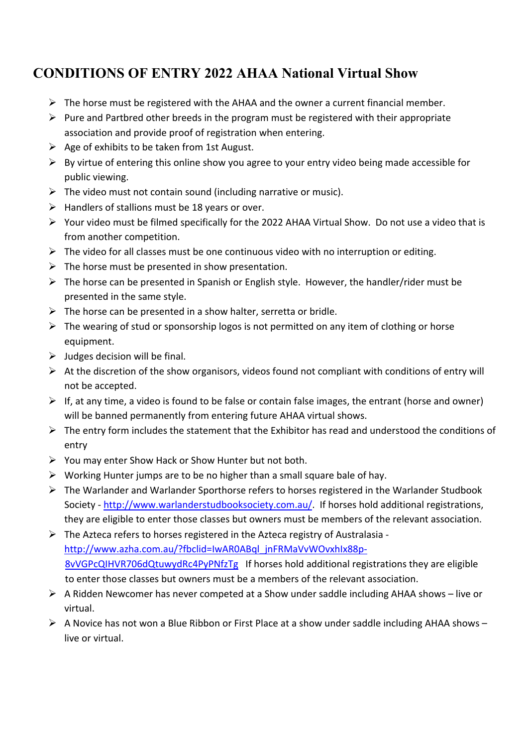## **CONDITIONS OF ENTRY 2022 AHAA National Virtual Show**

- $\triangleright$  The horse must be registered with the AHAA and the owner a current financial member.
- $\triangleright$  Pure and Partbred other breeds in the program must be registered with their appropriate association and provide proof of registration when entering.
- $\triangleright$  Age of exhibits to be taken from 1st August.
- $\triangleright$  By virtue of entering this online show you agree to your entry video being made accessible for public viewing.
- $\triangleright$  The video must not contain sound (including narrative or music).
- $\triangleright$  Handlers of stallions must be 18 years or over.
- $\triangleright$  Your video must be filmed specifically for the 2022 AHAA Virtual Show. Do not use a video that is from another competition.
- $\triangleright$  The video for all classes must be one continuous video with no interruption or editing.
- $\triangleright$  The horse must be presented in show presentation.
- $\triangleright$  The horse can be presented in Spanish or English style. However, the handler/rider must be presented in the same style.
- $\triangleright$  The horse can be presented in a show halter, serretta or bridle.
- $\triangleright$  The wearing of stud or sponsorship logos is not permitted on any item of clothing or horse equipment.
- $\triangleright$  Judges decision will be final.
- $\triangleright$  At the discretion of the show organisors, videos found not compliant with conditions of entry will not be accepted.
- $\triangleright$  If, at any time, a video is found to be false or contain false images, the entrant (horse and owner) will be banned permanently from entering future AHAA virtual shows.
- $\triangleright$  The entry form includes the statement that the Exhibitor has read and understood the conditions of entry
- $\triangleright$  You may enter Show Hack or Show Hunter but not both.
- $\triangleright$  Working Hunter jumps are to be no higher than a small square bale of hay.
- $\triangleright$  The Warlander and Warlander Sporthorse refers to horses registered in the Warlander Studbook Society - http://www.warlanderstudbooksociety.com.au/. If horses hold additional registrations, they are eligible to enter those classes but owners must be members of the relevant association.
- Ø The Azteca refers to horses registered in the Azteca registry of Australasia  http://www.azha.com.au/?fbclid=IwAR0ABql\_jnFRMaVvWOvxhIx88p-8vVGPcQIHVR706dQtuwydRc4PyPNfzTg If horses hold additional registrations they are eligible to enter those classes but owners must be a members of the relevant association.
- $\triangleright$  A Ridden Newcomer has never competed at a Show under saddle including AHAA shows live or virtual.
- $\triangleright$  A Novice has not won a Blue Ribbon or First Place at a show under saddle including AHAA shows live or virtual.